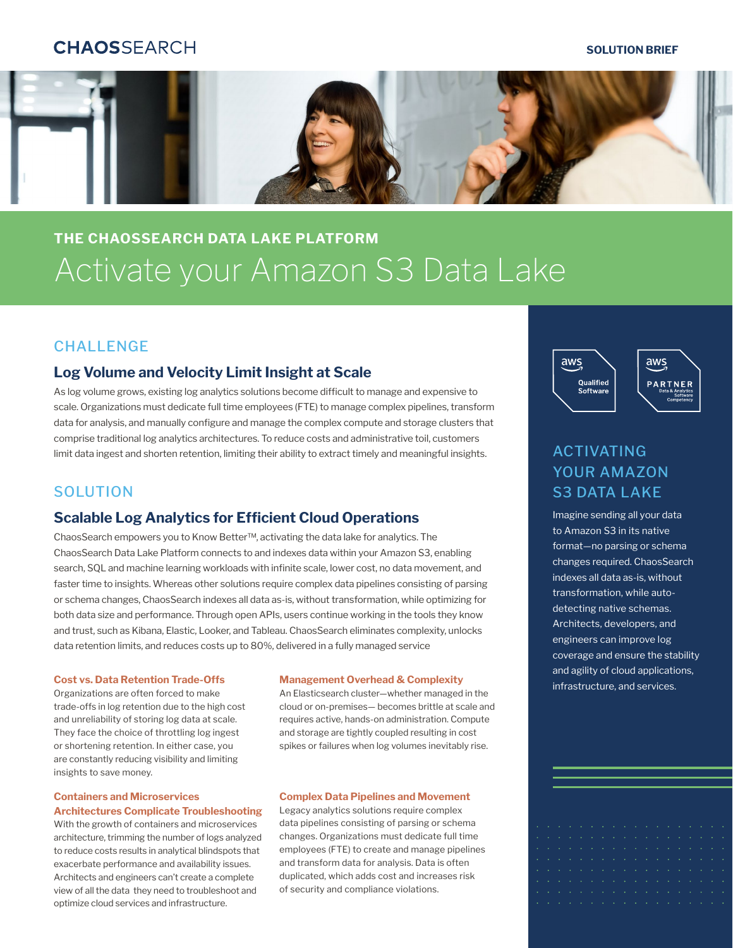# **CHAOSSFARCH**

### **SOLUTION BRIEF**



# **THE CHAOSSEARCH DATA LAKE PLATFORM** Activate your Amazon S3 Data Lake

### **CHALLENGE**

### **Log Volume and Velocity Limit Insight at Scale**

As log volume grows, existing log analytics solutions become difficult to manage and expensive to scale. Organizations must dedicate full time employees (FTE) to manage complex pipelines, transform data for analysis, and manually configure and manage the complex compute and storage clusters that comprise traditional log analytics architectures. To reduce costs and administrative toil, customers limit data ingest and shorten retention, limiting their ability to extract timely and meaningful insights.

### **SOLUTION**

### **Scalable Log Analytics for Efficient Cloud Operations**

ChaosSearch empowers you to Know Better™, activating the data lake for analytics. The ChaosSearch Data Lake Platform connects to and indexes data within your Amazon S3, enabling search, SQL and machine learning workloads with infinite scale, lower cost, no data movement, and faster time to insights. Whereas other solutions require complex data pipelines consisting of parsing or schema changes, ChaosSearch indexes all data as-is, without transformation, while optimizing for both data size and performance. Through open APIs, users continue working in the tools they know and trust, such as Kibana, Elastic, Looker, and Tableau. ChaosSearch eliminates complexity, unlocks data retention limits, and reduces costs up to 80%, delivered in a fully managed service

Organizations are often forced to make trade-offs in log retention due to the high cost and unreliability of storing log data at scale. They face the choice of throttling log ingest or shortening retention. In either case, you are constantly reducing visibility and limiting insights to save money.

### **Containers and Microservices Architectures Complicate Troubleshooting**

With the growth of containers and microservices architecture, trimming the number of logs analyzed to reduce costs results in analytical blindspots that exacerbate performance and availability issues. Architects and engineers can't create a complete view of all the data they need to troubleshoot and optimize cloud services and infrastructure.

An Elasticsearch cluster—whether managed in the cloud or on-premises— becomes brittle at scale and requires active, hands-on administration. Compute and storage are tightly coupled resulting in cost spikes or failures when log volumes inevitably rise.

### **Complex Data Pipelines and Movement**

Legacy analytics solutions require complex data pipelines consisting of parsing or schema changes. Organizations must dedicate full time employees (FTE) to create and manage pipelines and transform data for analysis. Data is often duplicated, which adds cost and increases risk of security and compliance violations.



# ACTIVATING YOUR AMAZON S3 DATA LAKE

Imagine sending all your data to Amazon S3 in its native format—no parsing or schema changes required. ChaosSearch indexes all data as-is, without transformation, while autodetecting native schemas. Architects, developers, and engineers can improve log coverage and ensure the stability and agility of cloud applications, **Cost vs. Data Retention Trade-Offs Management Overhead & Complexity and services.**<br>Constructure, and services.